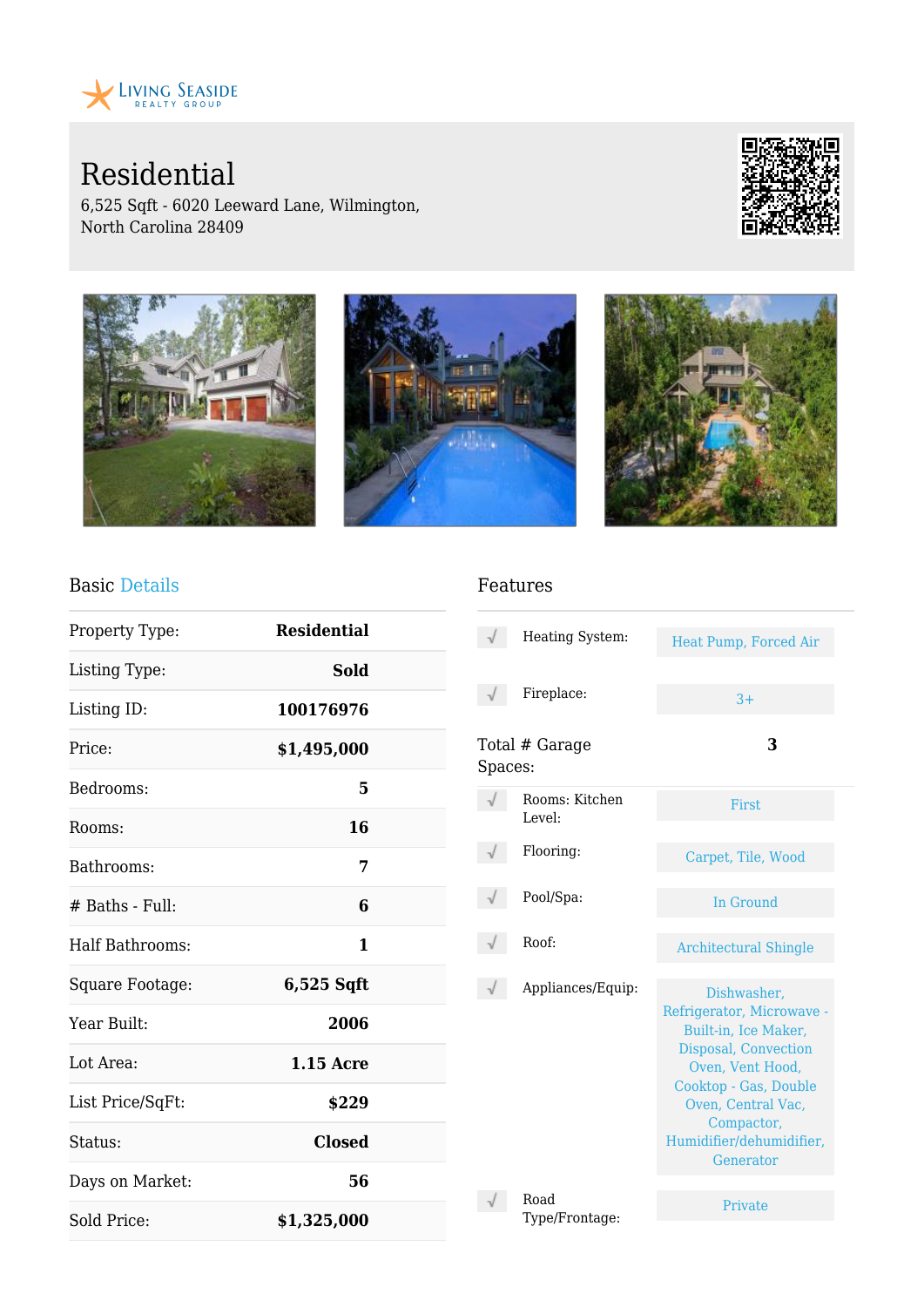

Residential

6,525 Sqft - 6020 Leeward Lane, Wilmington, North Carolina 28409





### Basic Details

| Property Type:   | <b>Residential</b> |  |
|------------------|--------------------|--|
| Listing Type:    | Sold               |  |
| Listing ID:      | 100176976          |  |
| Price:           | \$1,495,000        |  |
| Bedrooms:        | 5                  |  |
| Rooms:           | 16                 |  |
| Bathrooms:       | 7                  |  |
| # Baths - Full:  | 6                  |  |
| Half Bathrooms:  | 1                  |  |
| Square Footage:  | $6,525$ Sqft       |  |
| Year Built:      | 2006               |  |
| Lot Area:        | $1.15$ Acre        |  |
| List Price/SqFt: | \$229              |  |
| Status:          | <b>Closed</b>      |  |
| Days on Market:  | 56                 |  |
| Sold Price:      | \$1,325,000        |  |

#### Features

|         | Heating System:          | Heat Pump, Forced Air                                                                                                                                                                                              |
|---------|--------------------------|--------------------------------------------------------------------------------------------------------------------------------------------------------------------------------------------------------------------|
|         | Fireplace:               | $3+$                                                                                                                                                                                                               |
| Spaces: | Total # Garage           | 3                                                                                                                                                                                                                  |
|         | Rooms: Kitchen<br>Level: | First                                                                                                                                                                                                              |
|         | Flooring:                | Carpet, Tile, Wood                                                                                                                                                                                                 |
|         | Pool/Spa:                | In Ground                                                                                                                                                                                                          |
|         | Roof:                    | <b>Architectural Shingle</b>                                                                                                                                                                                       |
|         | Appliances/Equip:        | Dishwasher,<br>Refrigerator, Microwave -<br>Built-in, Ice Maker,<br>Disposal, Convection<br>Oven, Vent Hood,<br>Cooktop - Gas, Double<br>Oven, Central Vac,<br>Compactor,<br>Humidifier/dehumidifier,<br>Generator |
|         | Road<br>Type/Frontage:   | Private                                                                                                                                                                                                            |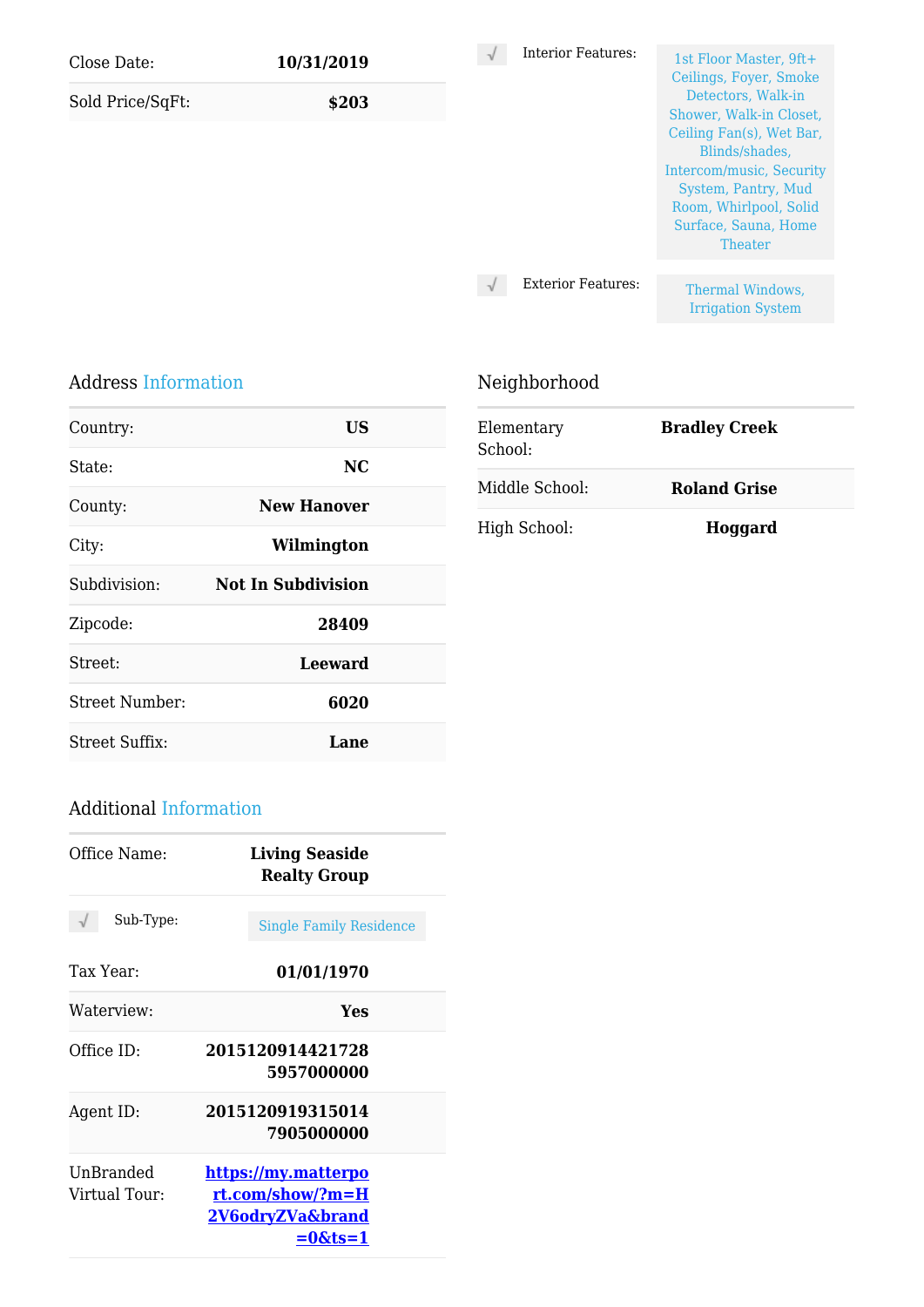| Close Date:<br>Sold Price/SqFt: | 10/31/2019<br>\$203 | <b>Interior Features:</b> | 1st Floor Master, 9ft+<br>Ceilings, Foyer, Smoke<br>Detectors, Walk-in                                                                                                                |
|---------------------------------|---------------------|---------------------------|---------------------------------------------------------------------------------------------------------------------------------------------------------------------------------------|
|                                 |                     |                           | Shower, Walk-in Closet,<br>Ceiling Fan(s), Wet Bar,<br>Blinds/shades,<br>Intercom/music, Security<br>System, Pantry, Mud<br>Room, Whirlpool, Solid<br>Surface, Sauna, Home<br>Theater |
|                                 |                     | <b>Exterior Features:</b> | Thermal Windows,                                                                                                                                                                      |
|                                 |                     |                           | <b>Irrigation System</b>                                                                                                                                                              |

Neighborhood

#### Address Information

| Country:       | US                 |  |
|----------------|--------------------|--|
| State:         | NC.                |  |
| County:        | <b>New Hanover</b> |  |
| City:          | Wilmington         |  |
| Subdivision:   | Not In Subdivision |  |
| Zipcode:       | 28409              |  |
| Street:        | <b>Leeward</b>     |  |
| Street Number: | 6020               |  |
| Street Suffix: | Lane               |  |

| Elementary<br>School: | <b>Bradley Creek</b> |  |
|-----------------------|----------------------|--|
| Middle School:        | <b>Roland Grise</b>  |  |
| High School:          | Hoggard              |  |

## Additional Information

| Office Name:               | <b>Living Seaside</b><br><b>Realty Group</b>                                     |
|----------------------------|----------------------------------------------------------------------------------|
| Sub-Type:                  | <b>Single Family Residence</b>                                                   |
| Tax Year:                  | 01/01/1970                                                                       |
| Waterview:                 | Yes                                                                              |
| Office $ID:$               | 2015120914421728<br>5957000000                                                   |
| Agent ID:                  | 2015120919315014<br>7905000000                                                   |
| UnBranded<br>Virtual Tour: | <u>https://my.matterpo</u><br>rt.com/show/?m=H<br>2V6odryZVa&brand<br>$=0$ &ts=1 |